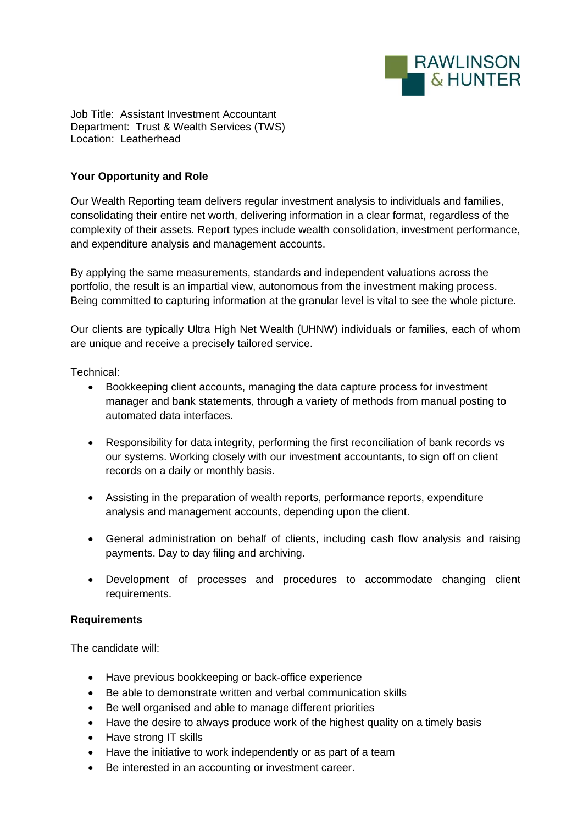

Job Title: Assistant Investment Accountant Department: Trust & Wealth Services (TWS) Location: Leatherhead

## **Your Opportunity and Role**

Our Wealth Reporting team delivers regular investment analysis to individuals and families, consolidating their entire net worth, delivering information in a clear format, regardless of the complexity of their assets. Report types include wealth consolidation, investment performance, and expenditure analysis and management accounts.

By applying the same measurements, standards and independent valuations across the portfolio, the result is an impartial view, autonomous from the investment making process. Being committed to capturing information at the granular level is vital to see the whole picture.

Our clients are typically Ultra High Net Wealth (UHNW) individuals or families, each of whom are unique and receive a precisely tailored service.

Technical:

- Bookkeeping client accounts, managing the data capture process for investment manager and bank statements, through a variety of methods from manual posting to automated data interfaces.
- Responsibility for data integrity, performing the first reconciliation of bank records vs our systems. Working closely with our investment accountants, to sign off on client records on a daily or monthly basis.
- Assisting in the preparation of wealth reports, performance reports, expenditure analysis and management accounts, depending upon the client.
- General administration on behalf of clients, including cash flow analysis and raising payments. Day to day filing and archiving.
- Development of processes and procedures to accommodate changing client requirements.

## **Requirements**

The candidate will:

- Have previous bookkeeping or back-office experience
- Be able to demonstrate written and verbal communication skills
- Be well organised and able to manage different priorities
- Have the desire to always produce work of the highest quality on a timely basis
- Have strong IT skills
- Have the initiative to work independently or as part of a team
- Be interested in an accounting or investment career.